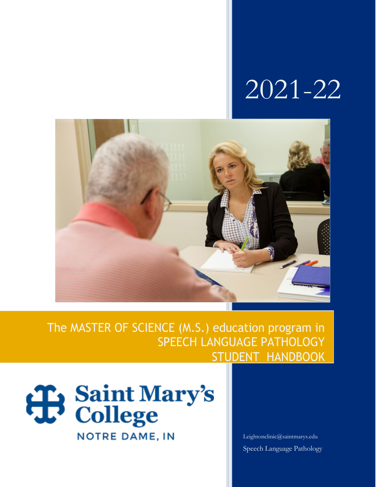# 2021-22



### The MASTER OF SCIENCE (M.S.) education program in SPEECH LANGUAGE PATHOLOGY STUDENT HANDBOOK



[Leightonclinic@saintmarys.edu](mailto:Leightonclinic@saintmarys.edu) Speech Language Pathology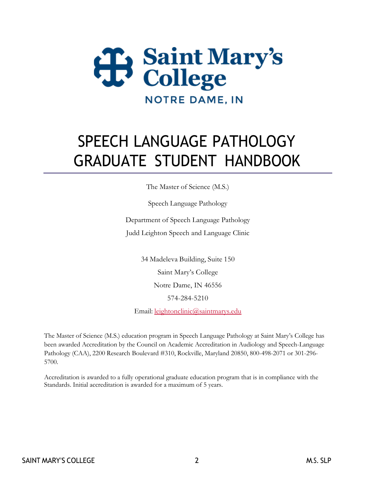

## SPEECH LANGUAGE PATHOLOGY GRADUATE STUDENT HANDBOOK

The Master of Science (M.S.)

Speech Language Pathology

Department of Speech Language Pathology Judd Leighton Speech and Language Clinic

> 34 Madeleva Building, Suite 150 Saint Mary's College Notre Dame, IN 46556 574-284-5210

Email: [leightonclinic@saintmarys.edu](mailto:leightonclinic@saintmarys.edu)

The Master of Science (M.S.) education program in Speech Language Pathology at Saint Mary's College has been awarded Accreditation by the Council on Academic Accreditation in Audiology and Speech-Language Pathology (CAA), 2200 Research Boulevard #310, Rockville, Maryland 20850, 800-498-2071 or 301-296- 5700.

Accreditation is awarded to a fully operational graduate education program that is in compliance with the Standards. Initial accreditation is awarded for a maximum of 5 years.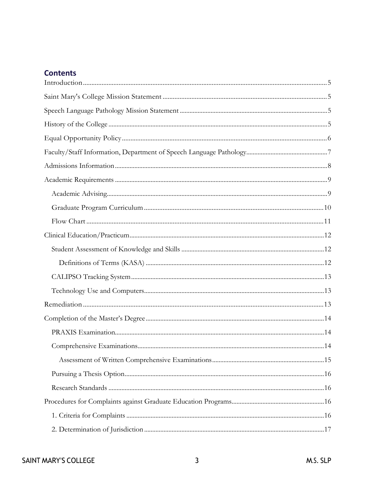#### **Contents**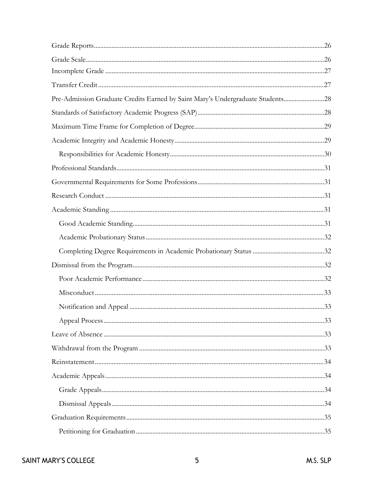| Pre-Admission Graduate Credits Earned by Saint Mary's Undergraduate Students28 |  |
|--------------------------------------------------------------------------------|--|
|                                                                                |  |
|                                                                                |  |
|                                                                                |  |
|                                                                                |  |
|                                                                                |  |
|                                                                                |  |
|                                                                                |  |
|                                                                                |  |
|                                                                                |  |
|                                                                                |  |
|                                                                                |  |
|                                                                                |  |
|                                                                                |  |
|                                                                                |  |
|                                                                                |  |
|                                                                                |  |
|                                                                                |  |
|                                                                                |  |
|                                                                                |  |
|                                                                                |  |
|                                                                                |  |
|                                                                                |  |
|                                                                                |  |
|                                                                                |  |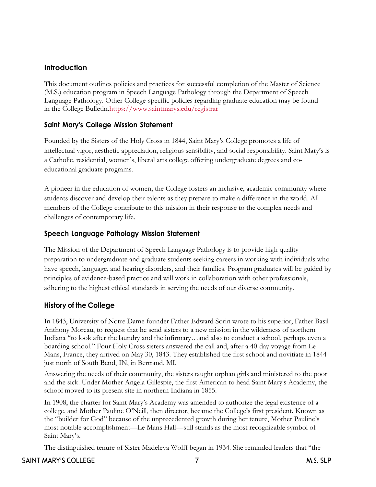#### <span id="page-6-0"></span>**Introduction**

This document outlines policies and practices for successful completion of the Master of Science (M.S.) education program in Speech Language Pathology through the Department of Speech Language Pathology. Other College-specific policies regarding graduate education may be found in the College Bulletin[.https://www.saintmarys.edu/registrar](https://www.saintmarys.edu/registrar)

#### <span id="page-6-1"></span>**Saint Mary's College Mission Statement**

Founded by the Sisters of the Holy Cross in 1844, Saint Mary's College promotes a life of intellectual vigor, aesthetic appreciation, religious sensibility, and social responsibility. Saint Mary's is a Catholic, residential, women's, liberal arts college offering undergraduate degrees and coeducational graduate programs.

A pioneer in the education of women, the College fosters an inclusive, academic community where students discover and develop their talents as they prepare to make a difference in the world. All members of the College contribute to this mission in their response to the complex needs and challenges of contemporary life.

#### <span id="page-6-2"></span>**Speech Language Pathology Mission Statement**

The Mission of the Department of Speech Language Pathology is to provide high quality preparation to undergraduate and graduate students seeking careers in working with individuals who have speech, language, and hearing disorders, and their families. Program graduates will be guided by principles of evidence-based practice and will work in collaboration with other professionals, adhering to the highest ethical standards in serving the needs of our diverse community.

#### <span id="page-6-3"></span>**History of the College**

In 1843, University of Notre Dame founder Father Edward Sorin wrote to his superior, Father Basil Anthony Moreau, to request that he send sisters to a new mission in the wilderness of northern Indiana "to look after the laundry and the infirmary…and also to conduct a school, perhaps even a boarding school." Four Holy Cross sisters answered the call and, after a 40-day voyage from Le Mans, France, they arrived on May 30, 1843. They established the first school and novitiate in 1844 just north of South Bend, IN, in Bertrand, MI.

Answering the needs of their community, the sisters taught orphan girls and ministered to the poor and the sick. Under Mother Angela Gillespie, the first American to head Saint Mary's Academy, the school moved to its present site in northern Indiana in 1855.

In 1908, the charter for Saint Mary's Academy was amended to authorize the legal existence of a college, and Mother Pauline O'Neill, then director, became the College's first president. Known as the "builder for God" because of the unprecedented growth during her tenure, Mother Pauline's most notable accomplishment—Le Mans Hall—still stands as the most recognizable symbol of Saint Mary's.

The distinguished tenure of Sister Madeleva Wolff began in 1934. She reminded leaders that "the

#### SAINT MARY'S COLLEGE THE SAINT MARY'S COLLEGE THE SAINT MARY'S COLLEGE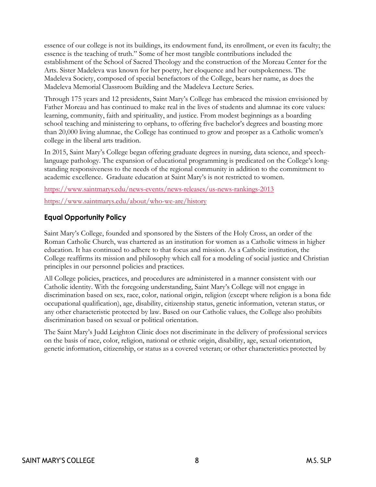essence of our college is not its buildings, its endowment fund, its enrollment, or even its faculty; the essence is the teaching of truth." Some of her most tangible contributions included the establishment of the School of Sacred Theology and the construction of the Moreau Center for the Arts. Sister Madeleva was known for her poetry, her eloquence and her outspokenness. The Madeleva Society, composed of special benefactors of the College, bears her name, as does the Madeleva Memorial Classroom Building and the Madeleva Lecture Series.

Through 175 years and 12 presidents, Saint Mary's College has embraced the mission envisioned by Father Moreau and has continued to make real in the lives of students and alumnae its core values: learning, community, faith and spirituality, and justice. From modest beginnings as a boarding school teaching and ministering to orphans, to offering five bachelor's degrees and boasting more than 20,000 living alumnae, the College has continued to grow and prosper as a Catholic women's college in the liberal arts tradition.

In 2015, Saint Mary's College began offering graduate degrees in nursing, data science, and speechlanguage pathology. The expansion of educational programming is predicated on the College's longstanding responsiveness to the needs of the regional community in addition to the commitment to academic excellence. Graduate education at Saint Mary's is not restricted to women.

<https://www.saintmarys.edu/news-events/news-releases/us-news-rankings-2013>

<https://www.saintmarys.edu/about/who-we-are/history>

#### <span id="page-7-0"></span>**Equal Opportunity Policy**

Saint Mary's College, founded and sponsored by the Sisters of the Holy Cross, an order of the Roman Catholic Church, was chartered as an institution for women as a Catholic witness in higher education. It has continued to adhere to that focus and mission. As a Catholic institution, the College reaffirms its mission and philosophy which call for a modeling of social justice and Christian principles in our personnel policies and practices.

All College policies, practices, and procedures are administered in a manner consistent with our Catholic identity. With the foregoing understanding, Saint Mary's College will not engage in discrimination based on sex, race, color, national origin, religion (except where religion is a bona fide occupational qualification), age, disability, citizenship status, genetic information, veteran status, or any other characteristic protected by law. Based on our Catholic values, the College also prohibits discrimination based on sexual or political orientation.

The Saint Mary's Judd Leighton Clinic does not discriminate in the delivery of professional services on the basis of race, color, religion, national or ethnic origin, disability, age, sexual orientation, genetic information, citizenship, or status as a covered veteran; or other characteristics protected by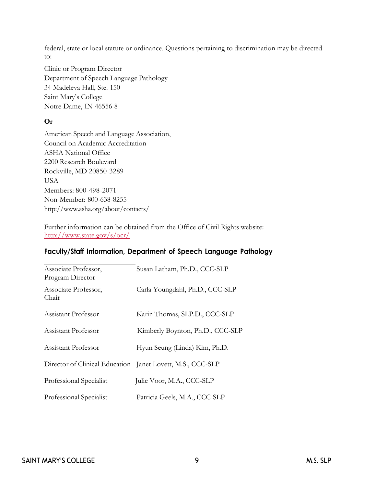federal, state or local statute or ordinance. Questions pertaining to discrimination may be directed to:

Clinic or Program Director Department of Speech Language Pathology 34 Madeleva Hall, Ste. 150 Saint Mary's College Notre Dame, IN 46556 8

#### **Or**

American Speech and Language Association, Council on Academic Accreditation ASHA National Office 2200 Research Boulevard Rockville, MD 20850-3289 **USA** Members: 800-498-2071 Non-Member: 800-638-8255 <http://www.asha.org/about/contacts/>

Further information can be obtained from the Office of Civil Rights website: <http://www.state.gov/s/ocr/>

| Associate Professor,<br>Program Director                   | Susan Latham, Ph.D., CCC-SLP     |
|------------------------------------------------------------|----------------------------------|
| Associate Professor,<br>Chair                              | Carla Youngdahl, Ph.D., CCC-SLP  |
| Assistant Professor                                        | Karin Thomas, SLP.D., CCC-SLP    |
| Assistant Professor                                        | Kimberly Boynton, Ph.D., CCC-SLP |
| Assistant Professor                                        | Hyun Seung (Linda) Kim, Ph.D.    |
| Director of Clinical Education Janet Lovett, M.S., CCC-SLP |                                  |
| Professional Specialist                                    | Julie Voor, M.A., CCC-SLP        |
| Professional Specialist                                    | Patricia Geels, M.A., CCC-SLP    |

#### <span id="page-8-0"></span>**Faculty/Staff Information, Department of Speech Language Pathology**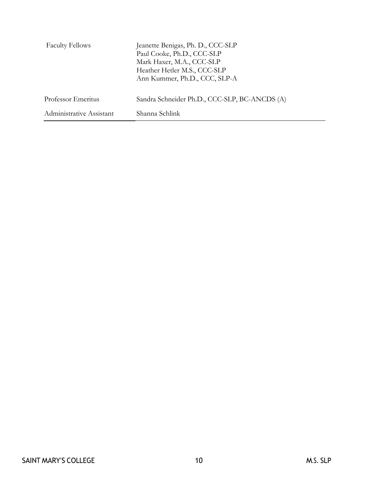| <b>Faculty Fellows</b>   | Jeanette Benigas, Ph. D., CCC-SLP<br>Paul Cooke, Ph.D., CCC-SLP<br>Mark Haxer, M.A., CCC-SLP<br>Heather Hetler M.S., CCC-SLP<br>Ann Kummer, Ph.D., CCC, SLP-A |
|--------------------------|---------------------------------------------------------------------------------------------------------------------------------------------------------------|
| Professor Emeritus       | Sandra Schneider Ph.D., CCC-SLP, BC-ANCDS (A)                                                                                                                 |
| Administrative Assistant | Shanna Schlink                                                                                                                                                |

÷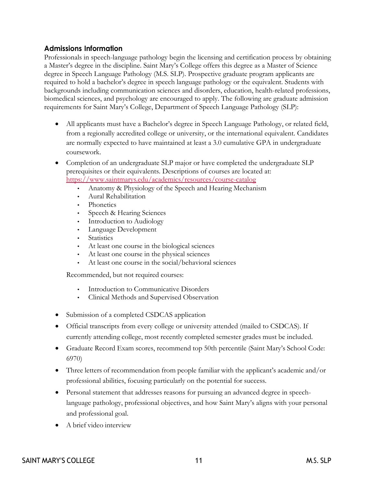#### <span id="page-10-0"></span>**Admissions Information**

Professionals in speech-language pathology begin the licensing and certification process by obtaining a Master's degree in the discipline. Saint Mary's College offers this degree as a Master of Science degree in Speech Language Pathology (M.S. SLP). Prospective graduate program applicants are required to hold a bachelor's degree in speech language pathology or the equivalent. Students with backgrounds including communication sciences and disorders, education, health-related professions, biomedical sciences, and psychology are encouraged to apply. The following are graduate admission requirements for Saint Mary's College, Department of Speech Language Pathology (SLP):

- All applicants must have a Bachelor's degree in Speech Language Pathology, or related field, from a regionally accredited college or university, or the international equivalent. Candidates are normally expected to have maintained at least a 3.0 cumulative GPA in undergraduate coursework.
- Completion of an undergraduate SLP major or have completed the undergraduate SLP prerequisites or their equivalents. Descriptions of courses are located at: <https://www.saintmarys.edu/academics/resources/course-catalog>
	- Anatomy & Physiology of the Speech and Hearing Mechanism
	- Aural Rehabilitation
	- Phonetics
	- Speech & Hearing Sciences
	- Introduction to Audiology
	- Language Development
	- Statistics
	- At least one course in the biological sciences
	- At least one course in the physical sciences
	- At least one course in the social/behavioral sciences

Recommended, but not required courses:

- Introduction to Communicative Disorders
- Clinical Methods and Supervised Observation
- Submission of a completed CSDCAS application
- Official transcripts from every college or university attended (mailed to CSDCAS). If currently attending college, most recently completed semester grades must be included.
- Graduate Record Exam scores, recommend top 50th percentile (Saint Mary's School Code: 6970)
- Three letters of recommendation from people familiar with the applicant's academic and/or professional abilities, focusing particularly on the potential for success.
- Personal statement that addresses reasons for pursuing an advanced degree in speechlanguage pathology, professional objectives, and how Saint Mary's aligns with your personal and professional goal.
- A brief video interview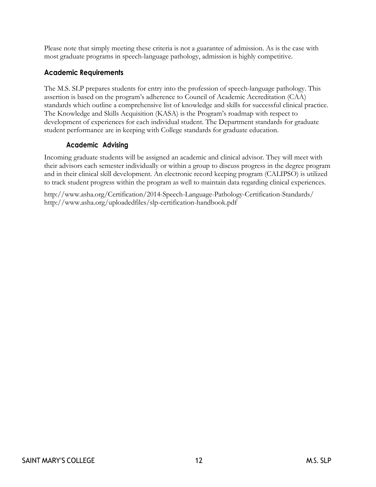Please note that simply meeting these criteria is not a guarantee of admission. As is the case with most graduate programs in speech-language pathology, admission is highly competitive.

#### <span id="page-11-0"></span>**Academic Requirements**

The M.S. SLP prepares students for entry into the profession of speech-language pathology. This assertion is based on the program's adherence to Council of Academic Accreditation (CAA) standards which outline a comprehensive list of knowledge and skills for successful clinical practice. The Knowledge and Skills Acquisition (KASA) is the Program's roadmap with respect to development of experiences for each individual student. The Department standards for graduate student performance are in keeping with College standards for graduate education.

#### **Academic Advising**

<span id="page-11-1"></span>Incoming graduate students will be assigned an academic and clinical advisor. They will meet with their advisors each semester individually or within a group to discuss progress in the degree program and in their clinical skill development. An electronic record keeping program (CALIPSO) is utilized to track student progress within the program as well to maintain data regarding clinical experiences.

<http://www.asha.org/Certification/2014-Speech-Language-Pathology-Certification-Standards/> <http://www.asha.org/uploadedfiles/slp-certification-handbook.pdf>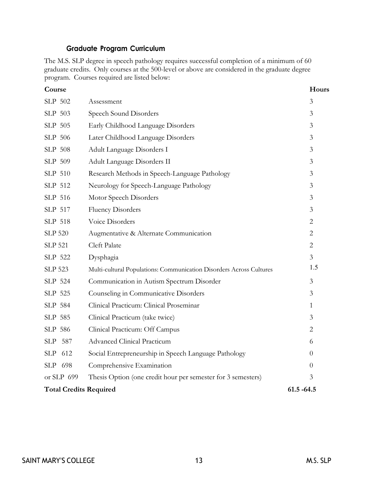#### **Graduate Program Curriculum**

<span id="page-12-0"></span>The M.S. SLP degree in speech pathology requires successful completion of a minimum of 60 graduate credits. Only courses at the 500-level or above are considered in the graduate degree program. Courses required are listed below:

| Course                        |                                                                     | Hours          |
|-------------------------------|---------------------------------------------------------------------|----------------|
| SLP 502                       | Assessment                                                          | 3              |
| SLP 503                       | Speech Sound Disorders                                              | 3              |
| SLP 505                       | Early Childhood Language Disorders                                  | 3              |
| SLP 506                       | Later Childhood Language Disorders                                  | $\mathfrak{Z}$ |
| SLP 508                       | Adult Language Disorders I                                          | 3              |
| SLP 509                       | Adult Language Disorders II                                         | 3              |
| SLP 510                       | Research Methods in Speech-Language Pathology                       | 3              |
| SLP 512                       | Neurology for Speech-Language Pathology                             | 3              |
| SLP 516                       | Motor Speech Disorders                                              | 3              |
| SLP 517                       | <b>Fluency Disorders</b>                                            | 3              |
| SLP 518                       | Voice Disorders                                                     | $\overline{2}$ |
| <b>SLP 520</b>                | Augmentative & Alternate Communication                              | $\overline{2}$ |
| <b>SLP 521</b>                | <b>Cleft Palate</b>                                                 | $\overline{2}$ |
| SLP 522                       | Dysphagia                                                           | $\overline{3}$ |
| <b>SLP 523</b>                | Multi-cultural Populations: Communication Disorders Across Cultures | 1.5            |
| SLP 524                       | Communication in Autism Spectrum Disorder                           | 3              |
| SLP 525                       | Counseling in Communicative Disorders                               | 3              |
| SLP 584                       | Clinical Practicum: Clinical Proseminar                             | $\mathbf{1}$   |
| SLP 585                       | Clinical Practicum (take twice)                                     | 3              |
| SLP 586                       | Clinical Practicum: Off Campus                                      | $\overline{2}$ |
| SLP<br>587                    | <b>Advanced Clinical Practicum</b>                                  | 6              |
| SLP 612                       | Social Entrepreneurship in Speech Language Pathology                | 0              |
| SLP 698                       | Comprehensive Examination                                           | $\overline{0}$ |
| or SLP 699                    | Thesis Option (one credit hour per semester for 3 semesters)        | 3              |
| <b>Total Credits Required</b> |                                                                     | $61.5 - 64.5$  |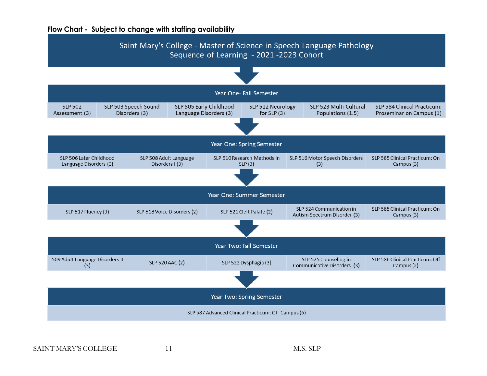#### **Flow Chart - Subject to change with staffing availability**

<span id="page-13-0"></span>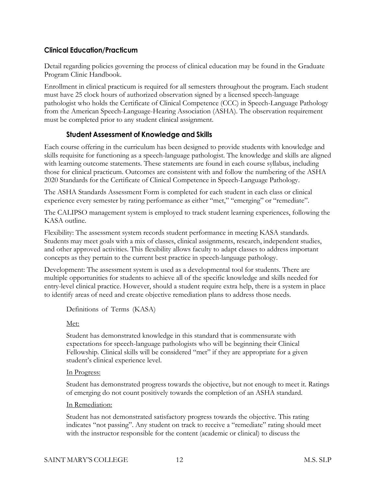#### <span id="page-14-0"></span>**Clinical Education/Practicum**

Detail regarding policies governing the process of clinical education may be found in the Graduate Program Clinic Handbook.

Enrollment in clinical practicum is required for all semesters throughout the program. Each student must have 25 clock hours of authorized observation signed by a licensed speech-language pathologist who holds the Certificate of Clinical Competence (CCC) in Speech-Language Pathology from the American Speech-Language-Hearing Association (ASHA). The observation requirement must be completed prior to any student clinical assignment.

#### **Student Assessment of Knowledge and Skills**

<span id="page-14-1"></span>Each course offering in the curriculum has been designed to provide students with knowledge and skills requisite for functioning as a speech-language pathologist. The knowledge and skills are aligned with learning outcome statements. These statements are found in each course syllabus, including those for clinical practicum. Outcomes are consistent with and follow the numbering of the ASHA 2020 Standards for the Certificate of Clinical Competence in Speech-Language Pathology.

The ASHA Standards Assessment Form is completed for each student in each class or clinical experience every semester by rating performance as either "met," "emerging" or "remediate".

The CALIPSO management system is employed to track student learning experiences, following the KASA outline.

Flexibility: The assessment system records student performance in meeting KASA standards. Students may meet goals with a mix of classes, clinical assignments, research, independent studies, and other approved activities. This flexibility allows faculty to adapt classes to address important concepts as they pertain to the current best practice in speech-language pathology.

Development: The assessment system is used as a developmental tool for students. There are multiple opportunities for students to achieve all of the specific knowledge and skills needed for entry-level clinical practice. However, should a student require extra help, there is a system in place to identify areas of need and create objective remediation plans to address those needs.

<span id="page-14-2"></span>Definitions of Terms (KASA)

#### Met:

Student has demonstrated knowledge in this standard that is commensurate with expectations for speech-language pathologists who will be beginning their Clinical Fellowship. Clinical skills will be considered "met" if they are appropriate for a given student's clinical experience level.

#### In Progress:

Student has demonstrated progress towards the objective, but not enough to meet it. Ratings of emerging do not count positively towards the completion of an ASHA standard.

#### In Remediation:

Student has not demonstrated satisfactory progress towards the objective. This rating indicates "not passing". Any student on track to receive a "remediate" rating should meet with the instructor responsible for the content (academic or clinical) to discuss the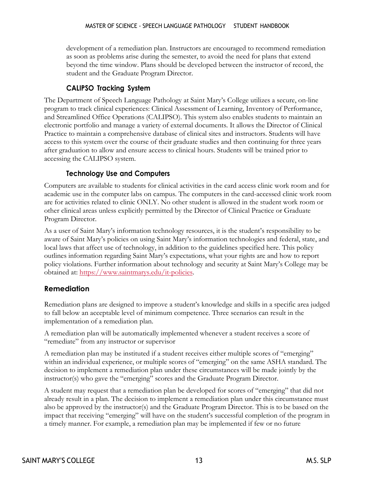development of a remediation plan. Instructors are encouraged to recommend remediation as soon as problems arise during the semester, to avoid the need for plans that extend beyond the time window. Plans should be developed between the instructor of record, the student and the Graduate Program Director.

#### **CALIPSO Tracking System**

<span id="page-15-0"></span>The Department of Speech Language Pathology at Saint Mary's College utilizes a secure, on-line program to track clinical experiences: Clinical Assessment of Learning, Inventory of Performance, and Streamlined Office Operations (CALIPSO). This system also enables students to maintain an electronic portfolio and manage a variety of external documents. It allows the Director of Clinical Practice to maintain a comprehensive database of clinical sites and instructors. Students will have access to this system over the course of their graduate studies and then continuing for three years after graduation to allow and ensure access to clinical hours. Students will be trained prior to accessing the CALIPSO system.

#### **Technology Use and Computers**

<span id="page-15-1"></span>Computers are available to students for clinical activities in the card access clinic work room and for academic use in the computer labs on campus. The computers in the card-accessed clinic work room are for activities related to clinic ONLY. No other student is allowed in the student work room or other clinical areas unless explicitly permitted by the Director of Clinical Practice or Graduate Program Director.

As a user of Saint Mary's information technology resources, it is the student's responsibility to be aware of Saint Mary's policies on using Saint Mary's information technologies and federal, state, and local laws that affect use of technology, in addition to the guidelines specified here. This policy outlines information regarding Saint Mary's expectations, what your rights are and how to report policy violations. Further information about technology and security at Saint Mary's College may be obtained at: [https://www.saintmarys.edu/it-policies.](https://www.saintmarys.edu/it-policies)

#### <span id="page-15-2"></span>**Remediation**

Remediation plans are designed to improve a student's knowledge and skills in a specific area judged to fall below an acceptable level of minimum competence. Three scenarios can result in the implementation of a remediation plan.

A remediation plan will be automatically implemented whenever a student receives a score of "remediate" from any instructor or supervisor

A remediation plan may be instituted if a student receives either multiple scores of "emerging" within an individual experience, or multiple scores of "emerging" on the same ASHA standard. The decision to implement a remediation plan under these circumstances will be made jointly by the instructor(s) who gave the "emerging" scores and the Graduate Program Director.

A student may request that a remediation plan be developed for scores of "emerging" that did not already result in a plan. The decision to implement a remediation plan under this circumstance must also be approved by the instructor(s) and the Graduate Program Director. This is to be based on the impact that receiving "emerging" will have on the student's successful completion of the program in a timely manner. For example, a remediation plan may be implemented if few or no future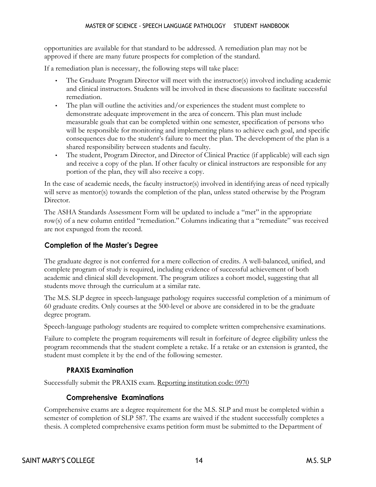opportunities are available for that standard to be addressed. A remediation plan may not be approved if there are many future prospects for completion of the standard.

If a remediation plan is necessary, the following steps will take place:

- The Graduate Program Director will meet with the instructor(s) involved including academic and clinical instructors. Students will be involved in these discussions to facilitate successful remediation.
- The plan will outline the activities and/or experiences the student must complete to demonstrate adequate improvement in the area of concern. This plan must include measurable goals that can be completed within one semester, specification of persons who will be responsible for monitoring and implementing plans to achieve each goal, and specific consequences due to the student's failure to meet the plan. The development of the plan is a shared responsibility between students and faculty.
- The student, Program Director, and Director of Clinical Practice (if applicable) will each sign and receive a copy of the plan. If other faculty or clinical instructors are responsible for any portion of the plan, they will also receive a copy.

In the case of academic needs, the faculty instructor(s) involved in identifying areas of need typically will serve as mentor(s) towards the completion of the plan, unless stated otherwise by the Program Director.

The ASHA Standards Assessment Form will be updated to include a "met" in the appropriate row(s) of a new column entitled "remediation." Columns indicating that a "remediate" was received are not expunged from the record.

#### <span id="page-16-0"></span>**Completion of the Master's Degree**

The graduate degree is not conferred for a mere collection of credits. A well-balanced, unified, and complete program of study is required, including evidence of successful achievement of both academic and clinical skill development. The program utilizes a cohort model, suggesting that all students move through the curriculum at a similar rate.

The M.S. SLP degree in speech-language pathology requires successful completion of a minimum of 60 graduate credits. Only courses at the 500-level or above are considered in to be the graduate degree program.

Speech-language pathology students are required to complete written comprehensive examinations.

Failure to complete the program requirements will result in forfeiture of degree eligibility unless the program recommends that the student complete a retake. If a retake or an extension is granted, the student must complete it by the end of the following semester.

#### **PRAXIS Examination**

<span id="page-16-2"></span><span id="page-16-1"></span>Successfully submit the PRAXIS exam. Reporting institution code: 0970

#### **Comprehensive Examinations**

Comprehensive exams are a degree requirement for the M.S. SLP and must be completed within a semester of completion of SLP 587. The exams are waived if the student successfully completes a thesis. A completed comprehensive exams petition form must be submitted to the Department of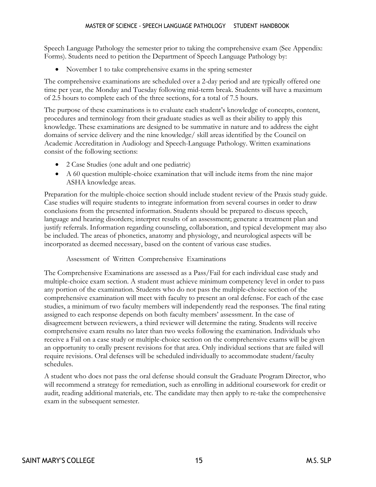Speech Language Pathology the semester prior to taking the comprehensive exam (See Appendix: Forms). Students need to petition the Department of Speech Language Pathology by:

• November 1 to take comprehensive exams in the spring semester

The comprehensive examinations are scheduled over a 2-day period and are typically offered one time per year, the Monday and Tuesday following mid-term break. Students will have a maximum of 2.5 hours to complete each of the three sections, for a total of 7.5 hours.

The purpose of these examinations is to evaluate each student's knowledge of concepts, content, procedures and terminology from their graduate studies as well as their ability to apply this knowledge. These examinations are designed to be summative in nature and to address the eight domains of service delivery and the nine knowledge/ skill areas identified by the Council on Academic Accreditation in Audiology and Speech-Language Pathology. Written examinations consist of the following sections:

- 2 Case Studies (one adult and one pediatric)
- A 60 question multiple-choice examination that will include items from the nine major ASHA knowledge areas.

Preparation for the multiple-choice section should include student review of the Praxis study guide. Case studies will require students to integrate information from several courses in order to draw conclusions from the presented information. Students should be prepared to discuss speech, language and hearing disorders; interpret results of an assessment; generate a treatment plan and justify referrals. Information regarding counseling, collaboration, and typical development may also be included. The areas of phonetics, anatomy and physiology, and neurological aspects will be incorporated as deemed necessary, based on the content of various case studies.

Assessment of Written Comprehensive Examinations

<span id="page-17-0"></span>The Comprehensive Examinations are assessed as a Pass/Fail for each individual case study and multiple-choice exam section. A student must achieve minimum competency level in order to pass any portion of the examination. Students who do not pass the multiple-choice section of the comprehensive examination will meet with faculty to present an oral defense. For each of the case studies, a minimum of two faculty members will independently read the responses. The final rating assigned to each response depends on both faculty members' assessment. In the case of disagreement between reviewers, a third reviewer will determine the rating. Students will receive comprehensive exam results no later than two weeks following the examination. Individuals who receive a Fail on a case study or multiple-choice section on the comprehensive exams will be given an opportunity to orally present revisions for that area. Only individual sections that are failed will require revisions. Oral defenses will be scheduled individually to accommodate student/faculty schedules.

A student who does not pass the oral defense should consult the Graduate Program Director, who will recommend a strategy for remediation, such as enrolling in additional coursework for credit or audit, reading additional materials, etc. The candidate may then apply to re-take the comprehensive exam in the subsequent semester.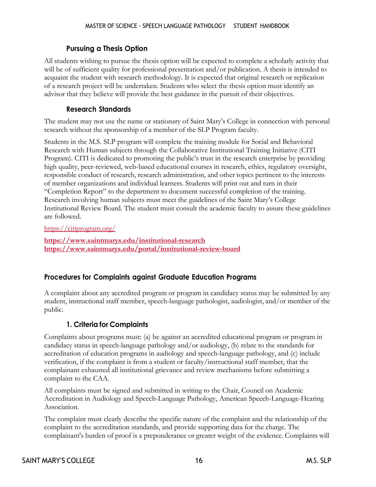#### **Pursuing a Thesis Option**

<span id="page-18-0"></span>All students wishing to pursue the thesis option will be expected to complete a scholarly activity that will be of sufficient quality for professional presentation and/or publication. A thesis is intended to acquaint the student with research methodology. It is expected that original research or replication of a research project will be undertaken. Students who select the thesis option must identify an advisor that they believe will provide the best guidance in the pursuit of their objectives.

#### **Research Standards**

<span id="page-18-1"></span>The student may not use the name or stationary of Saint Mary's College in connection with personal research without the sponsorship of a member of the SLP Program faculty.

Students in the M.S. SLP program will complete the training module for Social and Behavioral Research with Human subjects through the Collaborative Institutional Training Initiative (CITI Program). CITI is dedicated to promoting the public's trust in the research enterprise by providing high quality, peer-reviewed, web-based educational courses in research, ethics, regulatory oversight, responsible conduct of research, research administration, and other topics pertinent to the interests of member organizations and individual learners. Students will print out and turn in their "Completion Report" to the department to document successful completion of the training. Research involving human subjects must meet the guidelines of the Saint Mary's College Institutional Review Board. The student must consult the academic faculty to assure these guidelines are followed.

<https://citiprogram.org/>

**<https://www.saintmarys.edu/institutional-research> <https://www.saintmarys.edu/portal/institutional-review-board>**

#### <span id="page-18-2"></span>**Procedures for Complaints against Graduate Education Programs**

A complaint about any accredited program or program in candidacy status may be submitted by any student, instructional staff member, speech-language pathologist, audiologist, and/or member of the public.

#### **1. Criteria for Complaints**

<span id="page-18-3"></span>Complaints about programs must: (a) be against an accredited educational program or program in candidacy status in speech-language pathology and/or audiology, (b) relate to the standards for accreditation of education programs in audiology and speech-language pathology, and (c) include verification, if the complaint is from a student or faculty/instructional staff member, that the complainant exhausted all institutional grievance and review mechanisms before submitting a complaint to the CAA.

All complaints must be signed and submitted in writing to the Chair, Council on Academic Accreditation in Audiology and Speech-Language Pathology, American Speech-Language-Hearing Association.

The complaint must clearly describe the specific nature of the complaint and the relationship of the complaint to the accreditation standards, and provide supporting data for the charge. The complainant's burden of proof is a preponderance or greater weight of the evidence. Complaints will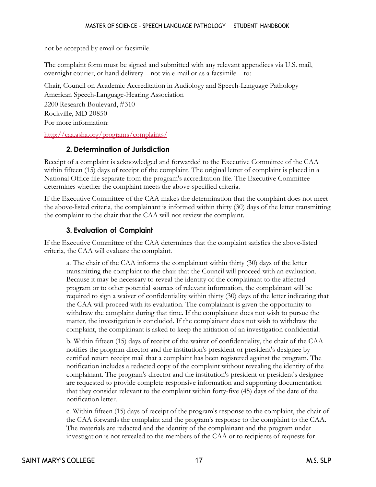not be accepted by email or facsimile.

The complaint form must be signed and submitted with any relevant appendices via U.S. mail, overnight courier, or hand delivery—not via e-mail or as a facsimile—to:

Chair, Council on Academic Accreditation in Audiology and Speech-Language Pathology American Speech-Language-Hearing Association 2200 Research Boulevard, #310 Rockville, MD 20850 For more information:

<span id="page-19-0"></span><http://caa.asha.org/programs/complaints/>

#### **2. Determination of Jurisdiction**

Receipt of a complaint is acknowledged and forwarded to the Executive Committee of the CAA within fifteen (15) days of receipt of the complaint. The original letter of complaint is placed in a National Office file separate from the program's accreditation file. The Executive Committee determines whether the complaint meets the above-specified criteria.

If the Executive Committee of the CAA makes the determination that the complaint does not meet the above-listed criteria, the complainant is informed within thirty (30) days of the letter transmitting the complaint to the chair that the CAA will not review the complaint.

#### **3. Evaluation of Complaint**

<span id="page-19-1"></span>If the Executive Committee of the CAA determines that the complaint satisfies the above-listed criteria, the CAA will evaluate the complaint.

a. The chair of the CAA informs the complainant within thirty (30) days of the letter transmitting the complaint to the chair that the Council will proceed with an evaluation. Because it may be necessary to reveal the identity of the complainant to the affected program or to other potential sources of relevant information, the complainant will be required to sign a waiver of confidentiality within thirty (30) days of the letter indicating that the CAA will proceed with its evaluation. The complainant is given the opportunity to withdraw the complaint during that time. If the complainant does not wish to pursue the matter, the investigation is concluded. If the complainant does not wish to withdraw the complaint, the complainant is asked to keep the initiation of an investigation confidential.

b. Within fifteen (15) days of receipt of the waiver of confidentiality, the chair of the CAA notifies the program director and the institution's president or president's designee by certified return receipt mail that a complaint has been registered against the program. The notification includes a redacted copy of the complaint without revealing the identity of the complainant. The program's director and the institution's president or president's designee are requested to provide complete responsive information and supporting documentation that they consider relevant to the complaint within forty-five (45) days of the date of the notification letter.

c. Within fifteen (15) days of receipt of the program's response to the complaint, the chair of the CAA forwards the complaint and the program's response to the complaint to the CAA. The materials are redacted and the identity of the complainant and the program under investigation is not revealed to the members of the CAA or to recipients of requests for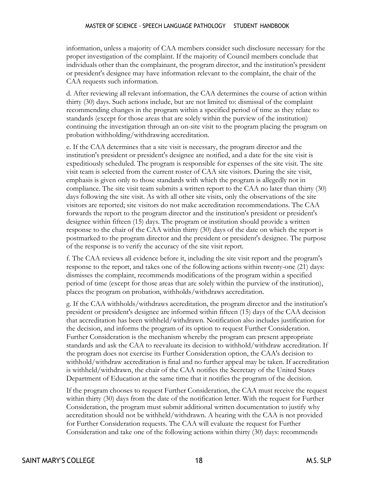information, unless a majority of CAA members consider such disclosure necessary for the proper investigation of the complaint. If the majority of Council members conclude that individuals other than the complainant, the program director, and the institution's president or president's designee may have information relevant to the complaint, the chair of the CAA requests such information.

d. After reviewing all relevant information, the CAA determines the course of action within thirty (30) days. Such actions include, but are not limited to: dismissal of the complaint recommending changes in the program within a specified period of time as they relate to standards (except for those areas that are solely within the purview of the institution) continuing the investigation through an on-site visit to the program placing the program on probation withholding/withdrawing accreditation.

e. If the CAA determines that a site visit is necessary, the program director and the institution's president or president's designee are notified, and a date for the site visit is expeditiously scheduled. The program is responsible for expenses of the site visit. The site visit team is selected from the current roster of CAA site visitors. During the site visit, emphasis is given only to those standards with which the program is allegedly not in compliance. The site visit team submits a written report to the CAA no later than thirty (30) days following the site visit. As with all other site visits, only the observations of the site visitors are reported; site visitors do not make accreditation recommendations. The CAA forwards the report to the program director and the institution's president or president's designee within fifteen (15) days. The program or institution should provide a written response to the chair of the CAA within thirty (30) days of the date on which the report is postmarked to the program director and the president or president's designee. The purpose of the response is to verify the accuracy of the site visit report.

f. The CAA reviews all evidence before it, including the site visit report and the program's response to the report, and takes one of the following actions within twenty-one (21) days: dismisses the complaint, recommends modifications of the program within a specified period of time (except for those areas that are solely within the purview of the institution), places the program on probation, withholds/withdraws accreditation.

g. If the CAA withholds/withdraws accreditation, the program director and the institution's president or president's designee are informed within fifteen (15) days of the CAA decision that accreditation has been withheld/withdrawn. Notification also includes justification for the decision, and informs the program of its option to request Further Consideration. Further Consideration is the mechanism whereby the program can present appropriate standards and ask the CAA to reevaluate its decision to withhold/withdraw accreditation. If the program does not exercise its Further Consideration option, the CAA's decision to withhold/withdraw accreditation is final and no further appeal may be taken. If accreditation is withheld/withdrawn, the chair of the CAA notifies the Secretary of the United States Department of Education at the same time that it notifies the program of the decision.

If the program chooses to request Further Consideration, the CAA must receive the request within thirty (30) days from the date of the notification letter. With the request for Further Consideration, the program must submit additional written documentation to justify why accreditation should not be withheld/withdrawn. A hearing with the CAA is not provided for Further Consideration requests. The CAA will evaluate the request for Further Consideration and take one of the following actions within thirty (30) days: recommends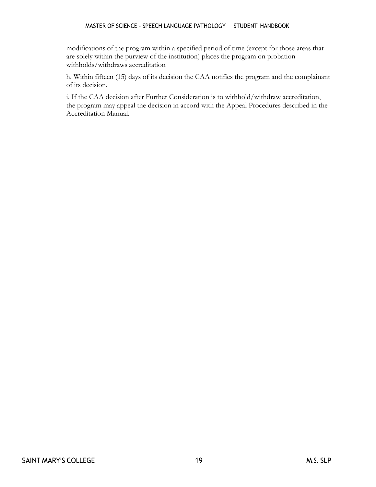#### MASTER OF SCIENCE - SPEECH LANGUAGE PATHOLOGY STUDENT HANDBOOK

modifications of the program within a specified period of time (except for those areas that are solely within the purview of the institution) places the program on probation withholds/withdraws accreditation

h. Within fifteen (15) days of its decision the CAA notifies the program and the complainant of its decision.

i. If the CAA decision after Further Consideration is to withhold/withdraw accreditation, the program may appeal the decision in accord with the Appeal Procedures described in the Accreditation Manual.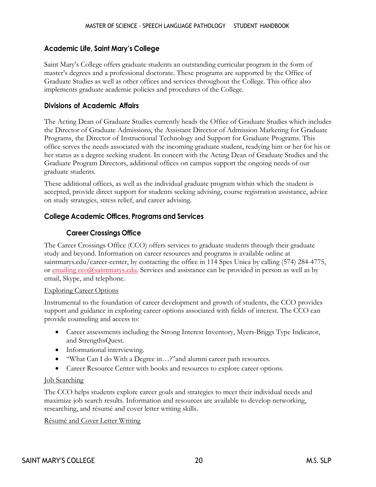#### <span id="page-22-0"></span>**Academic Life, Saint Mary's College**

Saint Mary's College offers graduate students an outstanding curricular program in the form of master's degrees and a professional doctorate. These programs are supported by the Office of Graduate Studies as well as other offices and services throughout the College. This office also implements graduate academic policies and procedures of the College.

#### <span id="page-22-1"></span>**Divisions of Academic Affairs**

The Acting Dean of Graduate Studies currently heads the Office of Graduate Studies which includes the Director of Graduate Admissions, the Assistant Director of Admission Marketing for Graduate Programs, the Director of Instructional Technology and Support for Graduate Programs. This office serves the needs associated with the incoming graduate student, readying him or her for his or her status as a degree seeking student. In concert with the Acting Dean of Graduate Studies and the Graduate Program Directors, additional offices on campus support the ongoing needs of our graduate students.

These additional offices, as well as the individual graduate program within which the student is accepted, provide direct support for students seeking advising, course registration assistance, advice on study strategies, stress relief, and career advising.

#### <span id="page-22-3"></span><span id="page-22-2"></span>**College Academic Offices, Programs and Services**

#### **Career Crossings Office**

The Career Crossings Office (CCO) offers services to graduate students through their graduate study and beyond. Information on career resources and programs is available online at saintmarys.edu/career-center, by contacting the office in 114 Spes Unica by calling (574) 284-4775, or [emailing cco@saintmarys.edu.](mailto:emailingcco@saintmarys.edu) Services and assistance can be provided in person as well as by email, Skype, and telephone.

#### Exploring Career Options

Instrumental to the foundation of career development and growth of students, the CCO provides support and guidance in exploring career options associated with fields of interest. The CCO can provide counseling and access to:

- Career assessments including the Strong Interest Inventory, Myers-Briggs Type Indicator, and StrengthsQuest.
- Informational interviewing.
- "What Can I do With a Degree in...?" and alumni career path resources.
- Career Resource Center with books and resources to explore career options.

#### Job Searching

The CCO helps students explore career goals and strategies to meet their individual needs and maximize job search results. Information and resources are available to develop networking, researching, and résumé and cover letter writing skills.

Résumé and Cover Letter Writing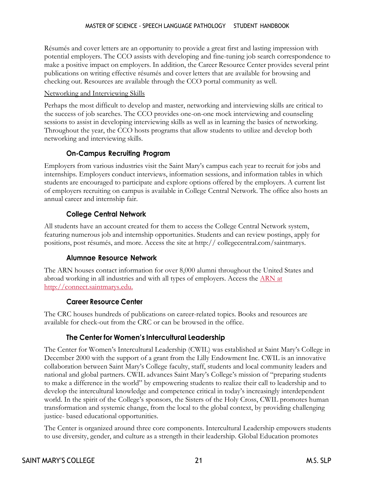Résumés and cover letters are an opportunity to provide a great first and lasting impression with potential employers. The CCO assists with developing and fine-tuning job search correspondence to make a positive impact on employers. In addition, the Career Resource Center provides several print publications on writing effective résumés and cover letters that are available for browsing and checking out. Resources are available through the CCO portal community as well.

#### Networking and Interviewing Skills

Perhaps the most difficult to develop and master, networking and interviewing skills are critical to the success of job searches. The CCO provides one-on-one mock interviewing and counseling sessions to assist in developing interviewing skills as well as in learning the basics of networking. Throughout the year, the CCO hosts programs that allow students to utilize and develop both networking and interviewing skills.

#### **On-Campus Recruiting Program**

<span id="page-23-0"></span>Employers from various industries visit the Saint Mary's campus each year to recruit for jobs and internships. Employers conduct interviews, information sessions, and information tables in which students are encouraged to participate and explore options offered by the employers. A current list of employers recruiting on campus is available in College Central Network. The office also hosts an annual career and internship fair.

#### **College Central Network**

<span id="page-23-1"></span>All students have an account created for them to access the College Central Network system, featuring numerous job and internship opportunities. Students and can review postings, apply for positions, post résumés, and more. Access the site at http:// collegecentral.com/saintmarys.

#### **Alumnae Resource Network**

<span id="page-23-2"></span>The ARN houses contact information for over 8,000 alumni throughout the United States and abroad working in all industries and with all types of employers. Access the [ARN at](http://connect.saintmarys.edu/) [http://connect.saintmarys.edu.](http://connect.saintmarys.edu/)

#### **Career Resource Center**

<span id="page-23-4"></span><span id="page-23-3"></span>The CRC houses hundreds of publications on career-related topics. Books and resources are available for check-out from the CRC or can be browsed in the office.

#### **The Center for Women's Intercultural Leadership**

The Center for Women's Intercultural Leadership (CWIL) was established at Saint Mary's College in December 2000 with the support of a grant from the Lilly Endowment Inc. CWIL is an innovative collaboration between Saint Mary's College faculty, staff, students and local community leaders and national and global partners. CWIL advances Saint Mary's College's mission of "preparing students to make a difference in the world" by empowering students to realize their call to leadership and to develop the intercultural knowledge and competence critical in today's increasingly interdependent world. In the spirit of the College's sponsors, the Sisters of the Holy Cross, CWIL promotes human transformation and systemic change, from the local to the global context, by providing challenging justice- based educational opportunities.

The Center is organized around three core components. Intercultural Leadership empowers students to use diversity, gender, and culture as a strength in their leadership. Global Education promotes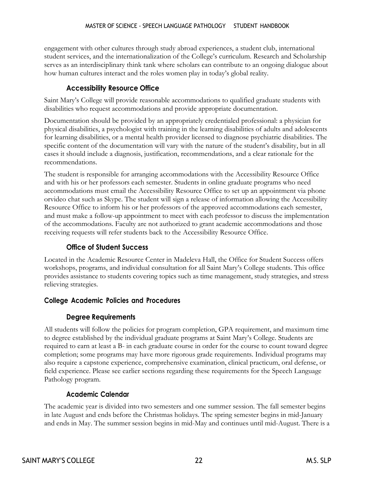engagement with other cultures through study abroad experiences, a student club, international student services, and the internationalization of the College's curriculum. Research and Scholarship serves as an interdisciplinary think tank where scholars can contribute to an ongoing dialogue about how human cultures interact and the roles women play in today's global reality.

#### **Accessibility Resource Office**

<span id="page-24-0"></span>Saint Mary's College will provide reasonable accommodations to qualified graduate students with disabilities who request accommodations and provide appropriate documentation.

Documentation should be provided by an appropriately credentialed professional: a physician for physical disabilities, a psychologist with training in the learning disabilities of adults and adolescents for learning disabilities, or a mental health provider licensed to diagnose psychiatric disabilities. The specific content of the documentation will vary with the nature of the student's disability, but in all cases it should include a diagnosis, justification, recommendations, and a clear rationale for the recommendations.

The student is responsible for arranging accommodations with the Accessibility Resource Office and with his or her professors each semester. Students in online graduate programs who need accommodations must email the Accessibility Resource Office to set up an appointment via phone orvideo chat such as Skype. The student will sign a release of information allowing the Accessibility Resource Office to inform his or her professors of the approved accommodations each semester, and must make a follow-up appointment to meet with each professor to discuss the implementation of the accommodations. Faculty are not authorized to grant academic accommodations and those receiving requests will refer students back to the Accessibility Resource Office.

#### **Office of Student Success**

<span id="page-24-1"></span>Located in the Academic Resource Center in Madeleva Hall, the Office for Student Success offers workshops, programs, and individual consultation for all Saint Mary's College students. This office provides assistance to students covering topics such as time management, study strategies, and stress relieving strategies.

#### <span id="page-24-3"></span><span id="page-24-2"></span>**College Academic Policies and Procedures**

#### **Degree Requirements**

All students will follow the policies for program completion, GPA requirement, and maximum time to degree established by the individual graduate programs at Saint Mary's College. Students are required to earn at least a B- in each graduate course in order for the course to count toward degree completion; some programs may have more rigorous grade requirements. Individual programs may also require a capstone experience, comprehensive examination, clinical practicum, oral defense, or field experience. Please see earlier sections regarding these requirements for the Speech Language Pathology program.

#### **Academic Calendar**

<span id="page-24-4"></span>The academic year is divided into two semesters and one summer session. The fall semester begins in late August and ends before the Christmas holidays. The spring semester begins in mid-January and ends in May. The summer session begins in mid-May and continues until mid-August. There is a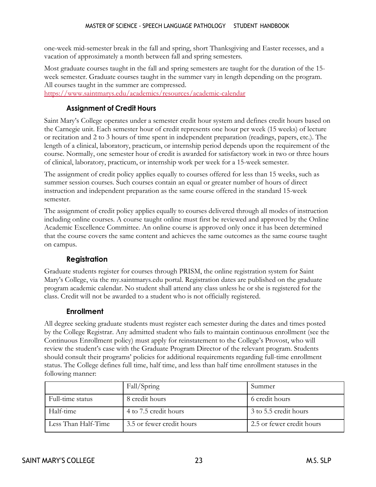one-week mid-semester break in the fall and spring, short Thanksgiving and Easter recesses, and a vacation of approximately a month between fall and spring semesters.

Most graduate courses taught in the fall and spring semesters are taught for the duration of the 15 week semester. Graduate courses taught in the summer vary in length depending on the program. All courses taught in the summer are compressed.

<span id="page-25-0"></span><https://www.saintmarys.edu/academics/resources/academic-calendar>

#### **Assignment of Credit Hours**

Saint Mary's College operates under a semester credit hour system and defines credit hours based on the Carnegie unit. Each semester hour of credit represents one hour per week (15 weeks) of lecture or recitation and 2 to 3 hours of time spent in independent preparation (readings, papers, etc.). The length of a clinical, laboratory, practicum, or internship period depends upon the requirement of the course. Normally, one semester hour of credit is awarded for satisfactory work in two or three hours of clinical, laboratory, practicum, or internship work per week for a 15-week semester.

The assignment of credit policy applies equally to courses offered for less than 15 weeks, such as summer session courses. Such courses contain an equal or greater number of hours of direct instruction and independent preparation as the same course offered in the standard 15-week semester.

The assignment of credit policy applies equally to courses delivered through all modes of instruction including online courses. A course taught online must first be reviewed and approved by the Online Academic Excellence Committee. An online course is approved only once it has been determined that the course covers the same content and achieves the same outcomes as the same course taught on campus.

#### **Registration**

<span id="page-25-1"></span>Graduate students register for courses through PRISM, the online registration system for Saint Mary's College, via the my.saintmarys.edu portal. Registration dates are published on the graduate program academic calendar. No student shall attend any class unless he or she is registered for the class. Credit will not be awarded to a student who is not officially registered.

#### **Enrollment**

<span id="page-25-2"></span>All degree seeking graduate students must register each semester during the dates and times posted by the College Registrar. Any admitted student who fails to maintain continuous enrollment (see the Continuous Enrollment policy) must apply for reinstatement to the College's Provost, who will review the student's case with the Graduate Program Director of the relevant program. Students should consult their programs' policies for additional requirements regarding full-time enrollment status. The College defines full time, half time, and less than half time enrollment statuses in the following manner:

|                     | Fall/Spring               | Summer                    |
|---------------------|---------------------------|---------------------------|
| Full-time status    | 8 credit hours            | 6 credit hours            |
| Half-time           | 4 to 7.5 credit hours     | 3 to 5.5 credit hours     |
| Less Than Half-Time | 3.5 or fewer credit hours | 2.5 or fewer credit hours |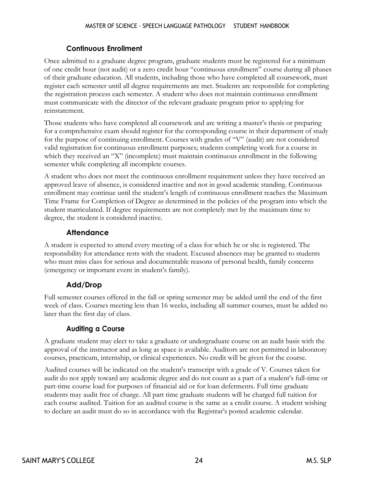#### **Continuous Enrollment**

<span id="page-26-0"></span>Once admitted to a graduate degree program, graduate students must be registered for a minimum of one credit hour (not audit) or a zero credit hour "continuous enrollment" course during all phases of their graduate education. All students, including those who have completed all coursework, must register each semester until all degree requirements are met. Students are responsible for completing the registration process each semester. A student who does not maintain continuous enrollment must communicate with the director of the relevant graduate program prior to applying for reinstatement.

Those students who have completed all coursework and are writing a master's thesis or preparing for a comprehensive exam should register for the corresponding course in their department of study for the purpose of continuing enrollment. Courses with grades of "V" (audit) are not considered valid registration for continuous enrollment purposes; students completing work for a course in which they received an "X" (incomplete) must maintain continuous enrollment in the following semester while completing all incomplete courses.

A student who does not meet the continuous enrollment requirement unless they have received an approved leave of absence, is considered inactive and not in good academic standing. Continuous enrollment may continue until the student's length of continuous enrollment reaches the Maximum Time Frame for Completion of Degree as determined in the policies of the program into which the student matriculated. If degree requirements are not completely met by the maximum time to degree, the student is considered inactive.

#### **Attendance**

<span id="page-26-1"></span>A student is expected to attend every meeting of a class for which he or she is registered. The responsibility for attendance rests with the student. Excused absences may be granted to students who must miss class for serious and documentable reasons of personal health, family concerns (emergency or important event in student's family).

#### **Add/Drop**

<span id="page-26-2"></span>Full semester courses offered in the fall or spring semester may be added until the end of the first week of class. Courses meeting less than 16 weeks, including all summer courses, must be added no later than the first day of class.

#### **Auditing a Course**

<span id="page-26-3"></span>A graduate student may elect to take a graduate or undergraduate course on an audit basis with the approval of the instructor and as long as space is available. Auditors are not permitted in laboratory courses, practicum, internship, or clinical experiences. No credit will be given for the course.

Audited courses will be indicated on the student's transcript with a grade of V. Courses taken for audit do not apply toward any academic degree and do not count as a part of a student's full-time or part-time course load for purposes of financial aid or for loan deferments. Full time graduate students may audit free of charge. All part time graduate students will be charged full tuition for each course audited. Tuition for an audited course is the same as a credit course. A student wishing to declare an audit must do so in accordance with the Registrar's posted academic calendar.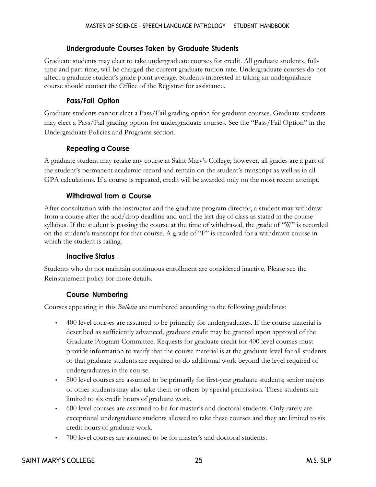#### **Undergraduate Courses Taken by Graduate Students**

<span id="page-27-0"></span>Graduate students may elect to take undergraduate courses for credit. All graduate students, fulltime and part-time, will be charged the current graduate tuition rate. Undergraduate courses do not affect a graduate student's grade point average. Students interested in taking an undergraduate course should contact the Office of the Registrar for assistance.

#### **Pass/Fail Option**

<span id="page-27-1"></span>Graduate students cannot elect a Pass/Fail grading option for graduate courses. Graduate students may elect a Pass/Fail grading option for undergraduate courses. See the "Pass/Fail Option" in the Undergraduate Policies and Programs section.

#### **Repeating a Course**

<span id="page-27-2"></span>A graduate student may retake any course at Saint Mary's College; however, all grades are a part of the student's permanent academic record and remain on the student's transcript as well as in all GPA calculations. If a course is repeated, credit will be awarded only on the most recent attempt.

#### **Withdrawal from a Course**

<span id="page-27-3"></span>After consultation with the instructor and the graduate program director, a student may withdraw from a course after the add/drop deadline and until the last day of class as stated in the course syllabus. If the student is passing the course at the time of withdrawal, the grade of "W" is recorded on the student's transcript for that course. A grade of "F" is recorded for a withdrawn course in which the student is failing.

#### **Inactive Status**

<span id="page-27-5"></span><span id="page-27-4"></span>Students who do not maintain continuous enrollment are considered inactive. Please see the Reinstatement policy for more details.

#### **Course Numbering**

Courses appearing in this *Bulletin* are numbered according to the following guidelines:

- 400 level courses are assumed to be primarily for undergraduates. If the course material is described as sufficiently advanced, graduate credit may be granted upon approval of the Graduate Program Committee. Requests for graduate credit for 400 level courses must provide information to verify that the course material is at the graduate level for all students or that graduate students are required to do additional work beyond the level required of undergraduates in the course.
- 500 level courses are assumed to be primarily for first-year graduate students; senior majors or other students may also take them or others by special permission. These students are limited to six credit hours of graduate work.
- 600 level courses are assumed to be for master's and doctoral students. Only rarely are exceptional undergraduate students allowed to take these courses and they are limited to six credit hours of graduate work.
- 700 level courses are assumed to be for master's and doctoral students.

#### SAINT MARY'S COLLEGE 25 25 M.S. SLP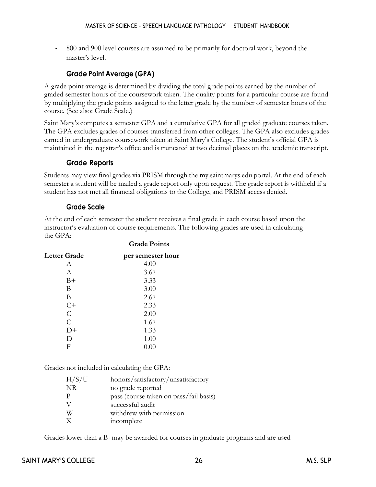• 800 and 900 level courses are assumed to be primarily for doctoral work, beyond the master's level.

#### **Grade Point Average (GPA)**

<span id="page-28-0"></span>A grade point average is determined by dividing the total grade points earned by the number of graded semester hours of the coursework taken. The quality points for a particular course are found by multiplying the grade points assigned to the letter grade by the number of semester hours of the course. (See also: Grade Scale.)

Saint Mary's computes a semester GPA and a cumulative GPA for all graded graduate courses taken. The GPA excludes grades of courses transferred from other colleges. The GPA also excludes grades earned in undergraduate coursework taken at Saint Mary's College. The student's official GPA is maintained in the registrar's office and is truncated at two decimal places on the academic transcript.

#### **Grade Reports**

<span id="page-28-1"></span>Students may view final grades via PRISM through the my.saintmarys.edu portal. At the end of each semester a student will be mailed a grade report only upon request. The grade report is withheld if a student has not met all financial obligations to the College, and PRISM access denied.

#### **Grade Scale**

<span id="page-28-2"></span>At the end of each semester the student receives a final grade in each course based upon the instructor's evaluation of course requirements. The following grades are used in calculating the GPA:

**Grade Points**

| per semester hour |
|-------------------|
| 4.00              |
| 3.67              |
| 3.33              |
| 3.00              |
| 2.67              |
| 2.33              |
| 2.00              |
| 1.67              |
| 1.33              |
| 1.00              |
| 0.00              |
|                   |

Grades not included in calculating the GPA:

| H/S/U        | honors/satisfactory/unsatisfactory     |
|--------------|----------------------------------------|
| <b>NR</b>    | no grade reported                      |
| $\mathbf{P}$ | pass (course taken on pass/fail basis) |
|              | successful audit                       |
| W            | withdrew with permission               |
| $\mathbf{X}$ | incomplete                             |

Grades lower than a B- may be awarded for courses in graduate programs and are used

#### SAINT MARY'S COLLEGE 26 26 M.S. SLP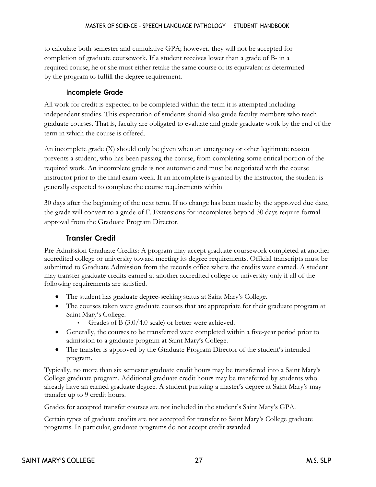<span id="page-29-0"></span>to calculate both semester and cumulative GPA; however, they will not be accepted for completion of graduate coursework. If a student receives lower than a grade of B- in a required course, he or she must either retake the same course or its equivalent as determined by the program to fulfill the degree requirement.

#### **Incomplete Grade**

All work for credit is expected to be completed within the term it is attempted including independent studies. This expectation of students should also guide faculty members who teach graduate courses. That is, faculty are obligated to evaluate and grade graduate work by the end of the term in which the course is offered.

An incomplete grade (X) should only be given when an emergency or other legitimate reason prevents a student, who has been passing the course, from completing some critical portion of the required work. An incomplete grade is not automatic and must be negotiated with the course instructor prior to the final exam week. If an incomplete is granted by the instructor, the student is generally expected to complete the course requirements within

30 days after the beginning of the next term. If no change has been made by the approved due date, the grade will convert to a grade of F. Extensions for incompletes beyond 30 days require formal approval from the Graduate Program Director.

#### **Transfer Credit**

<span id="page-29-1"></span>Pre-Admission Graduate Credits: A program may accept graduate coursework completed at another accredited college or university toward meeting its degree requirements. Official transcripts must be submitted to Graduate Admission from the records office where the credits were earned. A student may transfer graduate credits earned at another accredited college or university only if all of the following requirements are satisfied.

- The student has graduate degree-seeking status at Saint Mary's College.
- The courses taken were graduate courses that are appropriate for their graduate program at Saint Mary's College.
	- Grades of B (3.0/4.0 scale) or better were achieved.
- Generally, the courses to be transferred were completed within a five-year period prior to admission to a graduate program at Saint Mary's College.
- The transfer is approved by the Graduate Program Director of the student's intended program.

Typically, no more than six semester graduate credit hours may be transferred into a Saint Mary's College graduate program. Additional graduate credit hours may be transferred by students who already have an earned graduate degree. A student pursuing a master's degree at Saint Mary's may transfer up to 9 credit hours.

Grades for accepted transfer courses are not included in the student's Saint Mary's GPA.

Certain types of graduate credits are not accepted for transfer to Saint Mary's College graduate programs. In particular, graduate programs do not accept credit awarded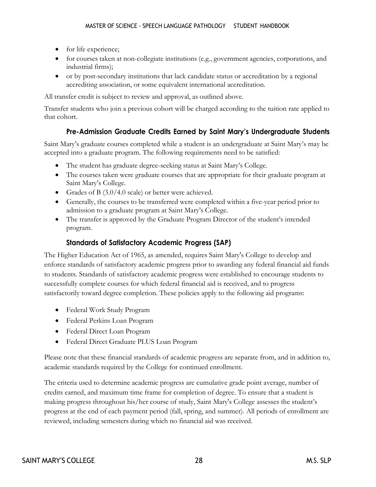- for life experience;
- for courses taken at non-collegiate institutions (e.g., government agencies, corporations, and industrial firms);
- or by post-secondary institutions that lack candidate status or accreditation by a regional accrediting association, or some equivalent international accreditation.

All transfer credit is subject to review and approval, as outlined above.

<span id="page-30-0"></span>Transfer students who join a previous cohort will be charged according to the tuition rate applied to that cohort.

#### **Pre-Admission Graduate Credits Earned by Saint Mary's Undergraduate Students**

Saint Mary's graduate courses completed while a student is an undergraduate at Saint Mary's may be accepted into a graduate program. The following requirements need to be satisfied:

- The student has graduate degree-seeking status at Saint Mary's College.
- The courses taken were graduate courses that are appropriate for their graduate program at Saint Mary's College.
- Grades of B (3.0/4.0 scale) or better were achieved.
- Generally, the courses to be transferred were completed within a five-year period prior to admission to a graduate program at Saint Mary's College.
- The transfer is approved by the Graduate Program Director of the student's intended program.

#### **Standards of Satisfactory Academic Progress (SAP)**

<span id="page-30-1"></span>The Higher Education Act of 1965, as amended, requires Saint Mary's College to develop and enforce standards of satisfactory academic progress prior to awarding any federal financial aid funds to students. Standards of satisfactory academic progress were established to encourage students to successfully complete courses for which federal financial aid is received, and to progress satisfactorily toward degree completion. These policies apply to the following aid programs:

- Federal Work Study Program
- Federal Perkins Loan Program
- Federal Direct Loan Program
- Federal Direct Graduate PLUS Loan Program

Please note that these financial standards of academic progress are separate from, and in addition to, academic standards required by the College for continued enrollment.

The criteria used to determine academic progress are cumulative grade point average, number of credits earned, and maximum time frame for completion of degree. To ensure that a student is making progress throughout his/her course of study, Saint Mary's College assesses the student's progress at the end of each payment period (fall, spring, and summer). All periods of enrollment are reviewed, including semesters during which no financial aid was received.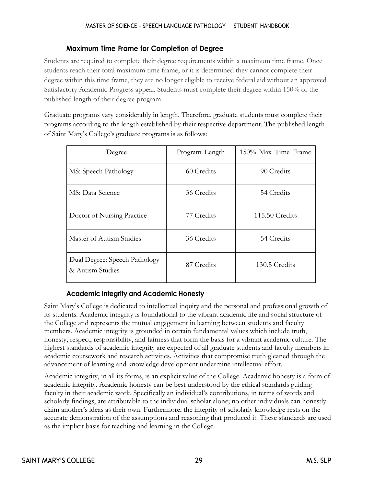#### **Maximum Time Frame for Completion of Degree**

<span id="page-31-0"></span>Students are required to complete their degree requirements within a maximum time frame. Once students reach their total maximum time frame, or it is determined they cannot complete their degree within this time frame, they are no longer eligible to receive federal aid without an approved Satisfactory Academic Progress appeal. Students must complete their degree within 150% of the published length of their degree program.

Graduate programs vary considerably in length. Therefore, graduate students must complete their programs according to the length established by their respective department. The published length of Saint Mary's College's graduate programs is as follows:

| Degree                                            | Program Length | 150% Max Time Frame |
|---------------------------------------------------|----------------|---------------------|
| MS: Speech Pathology                              | 60 Credits     | 90 Credits          |
| MS: Data Science                                  | 36 Credits     | 54 Credits          |
| Doctor of Nursing Practice                        | 77 Credits     | 115.50 Credits      |
| Master of Autism Studies                          | 36 Credits     | 54 Credits          |
| Dual Degree: Speech Pathology<br>& Autism Studies | 87 Credits     | 130.5 Credits       |

#### **Academic Integrity and Academic Honesty**

<span id="page-31-1"></span>Saint Mary's College is dedicated to intellectual inquiry and the personal and professional growth of its students. Academic integrity is foundational to the vibrant academic life and social structure of the College and represents the mutual engagement in learning between students and faculty members. Academic integrity is grounded in certain fundamental values which include truth, honesty, respect, responsibility, and fairness that form the basis for a vibrant academic culture. The highest standards of academic integrity are expected of all graduate students and faculty members in academic coursework and research activities. Activities that compromise truth gleaned through the advancement of learning and knowledge development undermine intellectual effort.

Academic integrity, in all its forms, is an explicit value of the College. Academic honesty is a form of academic integrity. Academic honesty can be best understood by the ethical standards guiding faculty in their academic work. Specifically an individual's contributions, in terms of words and scholarly findings, are attributable to the individual scholar alone; no other individuals can honestly claim another's ideas as their own. Furthermore, the integrity of scholarly knowledge rests on the accurate demonstration of the assumptions and reasoning that produced it. These standards are used as the implicit basis for teaching and learning in the College.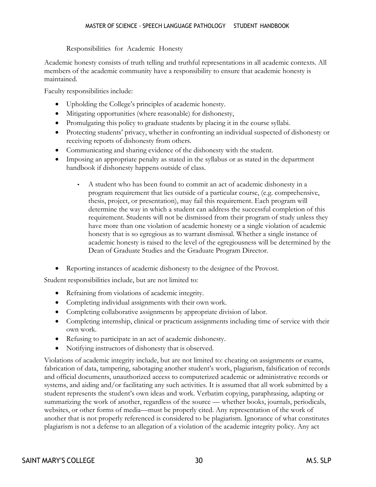#### Responsibilities for Academic Honesty

<span id="page-32-0"></span>Academic honesty consists of truth telling and truthful representations in all academic contexts. All members of the academic community have a responsibility to ensure that academic honesty is maintained.

Faculty responsibilities include:

- Upholding the College's principles of academic honesty.
- Mitigating opportunities (where reasonable) for dishonesty,
- Promulgating this policy to graduate students by placing it in the course syllabi.
- Protecting students' privacy, whether in confronting an individual suspected of dishonesty or receiving reports of dishonesty from others.
- Communicating and sharing evidence of the dishonesty with the student.
- Imposing an appropriate penalty as stated in the syllabus or as stated in the department handbook if dishonesty happens outside of class.
	- A student who has been found to commit an act of academic dishonesty in a program requirement that lies outside of a particular course, (e.g. comprehensive, thesis, project, or presentation), may fail this requirement. Each program will determine the way in which a student can address the successful completion of this requirement. Students will not be dismissed from their program of study unless they have more than one violation of academic honesty or a single violation of academic honesty that is so egregious as to warrant dismissal. Whether a single instance of academic honesty is raised to the level of the egregiousness will be determined by the Dean of Graduate Studies and the Graduate Program Director.
- Reporting instances of academic dishonesty to the designee of the Provost.

Student responsibilities include, but are not limited to:

- Refraining from violations of academic integrity.
- Completing individual assignments with their own work.
- Completing collaborative assignments by appropriate division of labor.
- Completing internship, clinical or practicum assignments including time of service with their own work.
- Refusing to participate in an act of academic dishonesty.
- Notifying instructors of dishonesty that is observed.

Violations of academic integrity include, but are not limited to: cheating on assignments or exams, fabrication of data, tampering, sabotaging another student's work, plagiarism, falsification of records and official documents, unauthorized access to computerized academic or administrative records or systems, and aiding and/or facilitating any such activities. It is assumed that all work submitted by a student represents the student's own ideas and work. Verbatim copying, paraphrasing, adapting or summarizing the work of another, regardless of the source — whether books, journals, periodicals, websites, or other forms of media—must be properly cited. Any representation of the work of another that is not properly referenced is considered to be plagiarism. Ignorance of what constitutes plagiarism is not a defense to an allegation of a violation of the academic integrity policy. Any act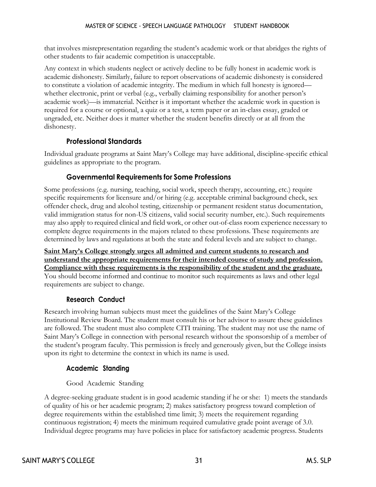that involves misrepresentation regarding the student's academic work or that abridges the rights of other students to fair academic competition is unacceptable.

Any context in which students neglect or actively decline to be fully honest in academic work is academic dishonesty. Similarly, failure to report observations of academic dishonesty is considered to constitute a violation of academic integrity. The medium in which full honesty is ignored whether electronic, print or verbal (e.g., verbally claiming responsibility for another person's academic work)—is immaterial. Neither is it important whether the academic work in question is required for a course or optional, a quiz or a test, a term paper or an in-class essay, graded or ungraded, etc. Neither does it matter whether the student benefits directly or at all from the dishonesty.

#### **Professional Standards**

<span id="page-33-1"></span><span id="page-33-0"></span>Individual graduate programs at Saint Mary's College may have additional, discipline-specific ethical guidelines as appropriate to the program.

#### **Governmental Requirements for Some Professions**

Some professions (e.g. nursing, teaching, social work, speech therapy, accounting, etc.) require specific requirements for licensure and/or hiring (e.g. acceptable criminal background check, sex offender check, drug and alcohol testing, citizenship or permanent resident status documentation, valid immigration status for non-US citizens, valid social security number, etc.). Such requirements may also apply to required clinical and field work, or other out-of-class room experience necessary to complete degree requirements in the majors related to these professions. These requirements are determined by laws and regulations at both the state and federal levels and are subject to change.

#### **Saint Mary's College strongly urges all admitted and current students to research and understand the appropriate requirements for their intended course of study and profession. Compliance with these requirements is the responsibility of the student and the graduate.**

<span id="page-33-2"></span>You should become informed and continue to monitor such requirements as laws and other legal requirements are subject to change.

#### **Research Conduct**

Research involving human subjects must meet the guidelines of the Saint Mary's College Institutional Review Board. The student must consult his or her advisor to assure these guidelines are followed. The student must also complete CITI training. The student may not use the name of Saint Mary's College in connection with personal research without the sponsorship of a member of the student's program faculty. This permission is freely and generously given, but the College insists upon its right to determine the context in which its name is used.

#### <span id="page-33-3"></span>**Academic Standing**

Good Academic Standing

<span id="page-33-4"></span>A degree-seeking graduate student is in good academic standing if he or she: 1) meets the standards of quality of his or her academic program; 2) makes satisfactory progress toward completion of degree requirements within the established time limit; 3) meets the requirement regarding continuous registration; 4) meets the minimum required cumulative grade point average of 3.0. Individual degree programs may have policies in place for satisfactory academic progress. Students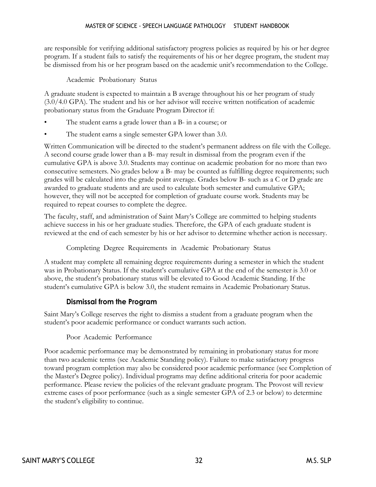are responsible for verifying additional satisfactory progress policies as required by his or her degree program. If a student fails to satisfy the requirements of his or her degree program, the student may be dismissed from his or her program based on the academic unit's recommendation to the College.

Academic Probationary Status

<span id="page-34-0"></span>A graduate student is expected to maintain a B average throughout his or her program of study (3.0/4.0 GPA). The student and his or her advisor will receive written notification of academic probationary status from the Graduate Program Director if:

- The student earns a grade lower than a B- in a course; or
- The student earns a single semester GPA lower than 3.0.

Written Communication will be directed to the student's permanent address on file with the College. A second course grade lower than a B- may result in dismissal from the program even if the cumulative GPA is above 3.0. Students may continue on academic probation for no more than two consecutive semesters. No grades below a B- may be counted as fulfilling degree requirements; such grades will be calculated into the grade point average. Grades below B- such as a C or D grade are awarded to graduate students and are used to calculate both semester and cumulative GPA; however, they will not be accepted for completion of graduate course work. Students may be required to repeat courses to complete the degree.

The faculty, staff, and administration of Saint Mary's College are committed to helping students achieve success in his or her graduate studies. Therefore, the GPA of each graduate student is reviewed at the end of each semester by his or her advisor to determine whether action is necessary.

Completing Degree Requirements in Academic Probationary Status

<span id="page-34-1"></span>A student may complete all remaining degree requirements during a semester in which the student was in Probationary Status. If the student's cumulative GPA at the end of the semester is 3.0 or above, the student's probationary status will be elevated to Good Academic Standing. If the student's cumulative GPA is below 3.0, the student remains in Academic Probationary Status.

#### **Dismissal from the Program**

<span id="page-34-3"></span><span id="page-34-2"></span>Saint Mary's College reserves the right to dismiss a student from a graduate program when the student's poor academic performance or conduct warrants such action.

#### Poor Academic Performance

Poor academic performance may be demonstrated by remaining in probationary status for more than two academic terms (see Academic Standing policy). Failure to make satisfactory progress toward program completion may also be considered poor academic performance (see Completion of the Master's Degree policy). Individual programs may define additional criteria for poor academic performance. Please review the policies of the relevant graduate program. The Provost will review extreme cases of poor performance (such as a single semester GPA of 2.3 or below) to determine the student's eligibility to continue.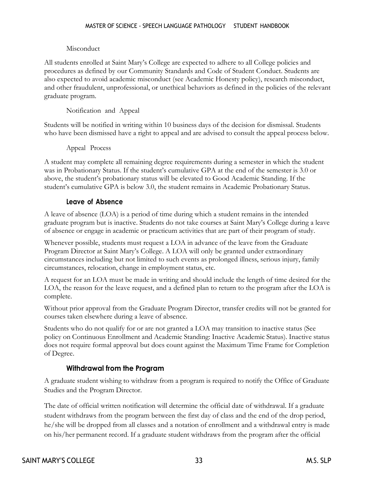#### Misconduct

<span id="page-35-0"></span>All students enrolled at Saint Mary's College are expected to adhere to all College policies and procedures as defined by our Community Standards and Code of Student Conduct. Students are also expected to avoid academic misconduct (see Academic Honesty policy), research misconduct, and other fraudulent, unprofessional, or unethical behaviors as defined in the policies of the relevant graduate program.

#### Notification and Appeal

<span id="page-35-2"></span><span id="page-35-1"></span>Students will be notified in writing within 10 business days of the decision for dismissal. Students who have been dismissed have a right to appeal and are advised to consult the appeal process below.

#### Appeal Process

A student may complete all remaining degree requirements during a semester in which the student was in Probationary Status. If the student's cumulative GPA at the end of the semester is 3.0 or above, the student's probationary status will be elevated to Good Academic Standing. If the student's cumulative GPA is below 3.0, the student remains in Academic Probationary Status.

#### **Leave of Absence**

<span id="page-35-3"></span>A leave of absence (LOA) is a period of time during which a student remains in the intended graduate program but is inactive. Students do not take courses at Saint Mary's College during a leave of absence or engage in academic or practicum activities that are part of their program of study.

Whenever possible, students must request a LOA in advance of the leave from the Graduate Program Director at Saint Mary's College. A LOA will only be granted under extraordinary circumstances including but not limited to such events as prolonged illness, serious injury, family circumstances, relocation, change in employment status, etc.

A request for an LOA must be made in writing and should include the length of time desired for the LOA, the reason for the leave request, and a defined plan to return to the program after the LOA is complete.

Without prior approval from the Graduate Program Director, transfer credits will not be granted for courses taken elsewhere during a leave of absence.

Students who do not qualify for or are not granted a LOA may transition to inactive status (See policy on Continuous Enrollment and Academic Standing: Inactive Academic Status). Inactive status does not require formal approval but does count against the Maximum Time Frame for Completion of Degree.

#### **Withdrawal from the Program**

<span id="page-35-4"></span>A graduate student wishing to withdraw from a program is required to notify the Office of Graduate Studies and the Program Director.

The date of official written notification will determine the official date of withdrawal. If a graduate student withdraws from the program between the first day of class and the end of the drop period, he/she will be dropped from all classes and a notation of enrollment and a withdrawal entry is made on his/her permanent record. If a graduate student withdraws from the program after the official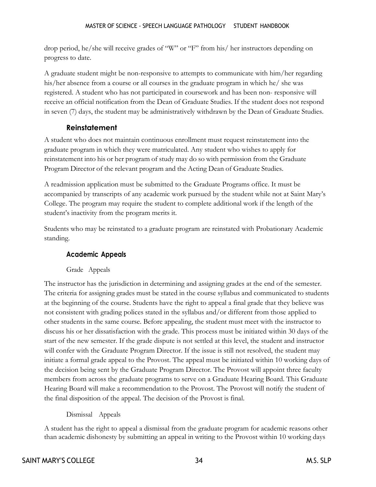drop period, he/she will receive grades of "W" or "F" from his/ her instructors depending on progress to date.

A graduate student might be non-responsive to attempts to communicate with him/her regarding his/her absence from a course or all courses in the graduate program in which he/ she was registered. A student who has not participated in coursework and has been non- responsive will receive an official notification from the Dean of Graduate Studies. If the student does not respond in seven (7) days, the student may be administratively withdrawn by the Dean of Graduate Studies.

#### **Reinstatement**

<span id="page-36-0"></span>A student who does not maintain continuous enrollment must request reinstatement into the graduate program in which they were matriculated. Any student who wishes to apply for reinstatement into his or her program of study may do so with permission from the Graduate Program Director of the relevant program and the Acting Dean of Graduate Studies.

A readmission application must be submitted to the Graduate Programs office. It must be accompanied by transcripts of any academic work pursued by the student while not at Saint Mary's College. The program may require the student to complete additional work if the length of the student's inactivity from the program merits it.

<span id="page-36-1"></span>Students who may be reinstated to a graduate program are reinstated with Probationary Academic standing.

#### **Academic Appeals**

#### Grade Appeals

<span id="page-36-2"></span>The instructor has the jurisdiction in determining and assigning grades at the end of the semester. The criteria for assigning grades must be stated in the course syllabus and communicated to students at the beginning of the course. Students have the right to appeal a final grade that they believe was not consistent with grading polices stated in the syllabus and/or different from those applied to other students in the same course. Before appealing, the student must meet with the instructor to discuss his or her dissatisfaction with the grade. This process must be initiated within 30 days of the start of the new semester. If the grade dispute is not settled at this level, the student and instructor will confer with the Graduate Program Director. If the issue is still not resolved, the student may initiate a formal grade appeal to the Provost. The appeal must be initiated within 10 working days of the decision being sent by the Graduate Program Director. The Provost will appoint three faculty members from across the graduate programs to serve on a Graduate Hearing Board. This Graduate Hearing Board will make a recommendation to the Provost. The Provost will notify the student of the final disposition of the appeal. The decision of the Provost is final.

#### Dismissal Appeals

<span id="page-36-3"></span>A student has the right to appeal a dismissal from the graduate program for academic reasons other than academic dishonesty by submitting an appeal in writing to the Provost within 10 working days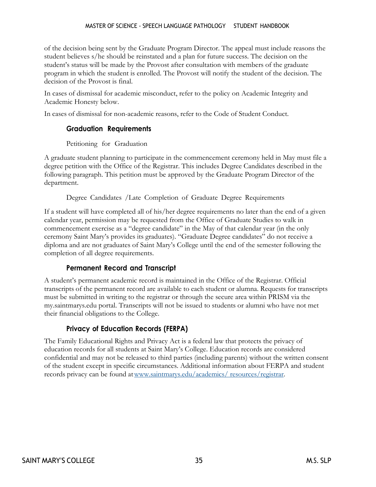#### MASTER OF SCIENCE - SPEECH LANGUAGE PATHOLOGY STUDENT HANDBOOK

of the decision being sent by the Graduate Program Director. The appeal must include reasons the student believes s/he should be reinstated and a plan for future success. The decision on the student's status will be made by the Provost after consultation with members of the graduate program in which the student is enrolled. The Provost will notify the student of the decision. The decision of the Provost is final.

In cases of dismissal for academic misconduct, refer to the policy on Academic Integrity and Academic Honesty below.

<span id="page-37-0"></span>In cases of dismissal for non-academic reasons, refer to the Code of Student Conduct.

#### **Graduation Requirements**

#### Petitioning for Graduation

<span id="page-37-1"></span>A graduate student planning to participate in the commencement ceremony held in May must file a degree petition with the Office of the Registrar. This includes Degree Candidates described in the following paragraph. This petition must be approved by the Graduate Program Director of the department.

Degree Candidates /Late Completion of Graduate Degree Requirements

<span id="page-37-2"></span>If a student will have completed all of his/her degree requirements no later than the end of a given calendar year, permission may be requested from the Office of Graduate Studies to walk in commencement exercise as a "degree candidate" in the May of that calendar year (in the only ceremony Saint Mary's provides its graduates). "Graduate Degree candidates" do not receive a diploma and are not graduates of Saint Mary's College until the end of the semester following the completion of all degree requirements.

#### **Permanent Record and Transcript**

<span id="page-37-3"></span>A student's permanent academic record is maintained in the Office of the Registrar. Official transcripts of the permanent record are available to each student or alumna. Requests for transcripts must be submitted in writing to the registrar or through the secure area within PRISM via the my.saintmarys.edu portal. Transcripts will not be issued to students or alumni who have not met their financial obligations to the College.

#### **Privacy of Education Records (FERPA)**

<span id="page-37-4"></span>The Family Educational Rights and Privacy Act is a federal law that protects the privacy of education records for all students at Saint Mary's College. Education records are considered confidential and may not be released to third parties (including parents) without the written consent of the student except in specific circumstances. Additional information about FERPA and student records privacy can be found a[twww.saintmarys.edu/academics/](http://www.saintmarys.edu/academics/) resources/registrar.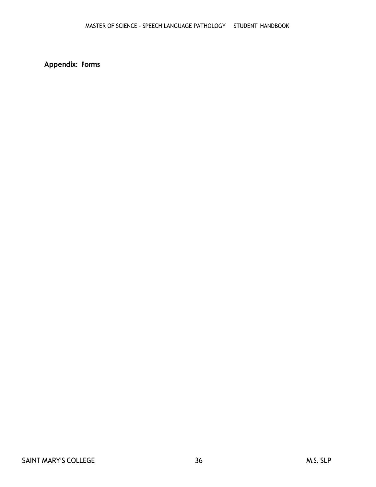<span id="page-38-0"></span>**Appendix: Forms**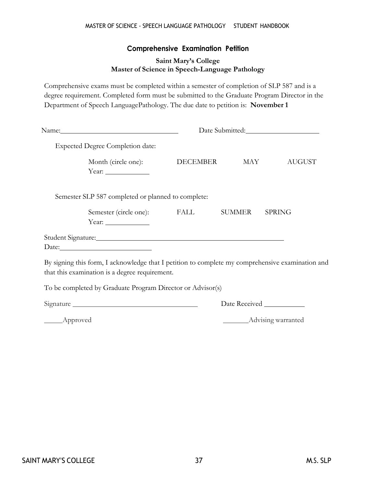#### **Comprehensive Examination Petition**

#### **Saint Mary's College Master of Science in Speech-Language Pathology**

<span id="page-39-0"></span>Comprehensive exams must be completed within a semester of completion of SLP 587 and is a degree requirement. Completed form must be submitted to the Graduate Program Director in the Department of Speech LanguagePathology. The due date to petition is: **November 1**

|                                                                                                                                                    | Date Submitted: |  |               |  |  |
|----------------------------------------------------------------------------------------------------------------------------------------------------|-----------------|--|---------------|--|--|
| <b>Expected Degree Completion date:</b>                                                                                                            |                 |  |               |  |  |
| Month (circle one): DECEMBER MAY<br>Year: $\frac{1}{\sqrt{1-\frac{1}{2}}\sqrt{1-\frac{1}{2}}\left(\frac{1}{2}-\frac{1}{2}\right)}$                 |                 |  | <b>AUGUST</b> |  |  |
| Semester SLP 587 completed or planned to complete:                                                                                                 |                 |  |               |  |  |
| Semester (circle one): FALL SUMMER                                                                                                                 |                 |  | <b>SPRING</b> |  |  |
| Date:                                                                                                                                              |                 |  |               |  |  |
| By signing this form, I acknowledge that I petition to complete my comprehensive examination and<br>that this examination is a degree requirement. |                 |  |               |  |  |

To be completed by Graduate Program Director or Advisor(s)

Signature

Date Received \_\_\_\_\_\_\_\_

\_\_\_\_\_Approved

**Advising warranted**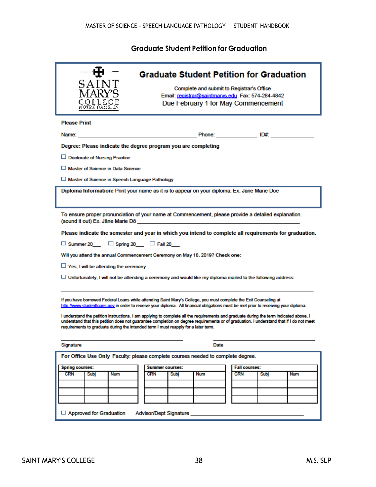#### **Graduate Student Petition for Graduation**

<span id="page-40-0"></span>

| 5 A I N                                                                                                                                                                                                                                                                                                                                                                                                                                                                                                                                                                                                                              | <b>Graduate Student Petition for Graduation</b>                                                |                                                      |            |                      |            |  |
|--------------------------------------------------------------------------------------------------------------------------------------------------------------------------------------------------------------------------------------------------------------------------------------------------------------------------------------------------------------------------------------------------------------------------------------------------------------------------------------------------------------------------------------------------------------------------------------------------------------------------------------|------------------------------------------------------------------------------------------------|------------------------------------------------------|------------|----------------------|------------|--|
|                                                                                                                                                                                                                                                                                                                                                                                                                                                                                                                                                                                                                                      | Complete and submit to Registrar's Office<br>Email: registrar@saintmarvs.edu Fax: 574-284-4842 |                                                      |            |                      |            |  |
| COLLEGE<br>NOTRE DAMS, IN                                                                                                                                                                                                                                                                                                                                                                                                                                                                                                                                                                                                            |                                                                                                | Due February 1 for May Commencement                  |            |                      |            |  |
|                                                                                                                                                                                                                                                                                                                                                                                                                                                                                                                                                                                                                                      |                                                                                                |                                                      |            |                      |            |  |
| <b>Please Print</b>                                                                                                                                                                                                                                                                                                                                                                                                                                                                                                                                                                                                                  |                                                                                                |                                                      |            |                      |            |  |
|                                                                                                                                                                                                                                                                                                                                                                                                                                                                                                                                                                                                                                      |                                                                                                |                                                      |            |                      |            |  |
| Degree: Please indicate the degree program you are completing                                                                                                                                                                                                                                                                                                                                                                                                                                                                                                                                                                        |                                                                                                |                                                      |            |                      |            |  |
| □ Doctorate of Nursing Practice                                                                                                                                                                                                                                                                                                                                                                                                                                                                                                                                                                                                      |                                                                                                |                                                      |            |                      |            |  |
| □ Master of Science in Data Science                                                                                                                                                                                                                                                                                                                                                                                                                                                                                                                                                                                                  |                                                                                                |                                                      |            |                      |            |  |
| Master of Science in Speech Language Pathology                                                                                                                                                                                                                                                                                                                                                                                                                                                                                                                                                                                       |                                                                                                |                                                      |            |                      |            |  |
| Diploma Information: Print your name as it is to appear on your diploma. Ex. Jane Marie Doe                                                                                                                                                                                                                                                                                                                                                                                                                                                                                                                                          |                                                                                                |                                                      |            |                      |            |  |
|                                                                                                                                                                                                                                                                                                                                                                                                                                                                                                                                                                                                                                      |                                                                                                |                                                      |            |                      |            |  |
| To ensure proper pronunciation of your name at Commencement, please provide a detailed explanation.<br>(sound it out) Ex. Jane Marie Do                                                                                                                                                                                                                                                                                                                                                                                                                                                                                              |                                                                                                | <u> 1989 - Johann Stein, Amerikaansk politiker (</u> |            |                      |            |  |
| Please indicate the semester and year in which you intend to complete all requirements for graduation.                                                                                                                                                                                                                                                                                                                                                                                                                                                                                                                               |                                                                                                |                                                      |            |                      |            |  |
| $\Box$ Summer 20 $\Box$ Spring 20 $\Box$ Fall 20                                                                                                                                                                                                                                                                                                                                                                                                                                                                                                                                                                                     |                                                                                                |                                                      |            |                      |            |  |
| Will you attend the annual Commencement Ceremony on May 18, 2019? Check one:                                                                                                                                                                                                                                                                                                                                                                                                                                                                                                                                                         |                                                                                                |                                                      |            |                      |            |  |
| $\Box$ Yes, I will be attending the ceremony                                                                                                                                                                                                                                                                                                                                                                                                                                                                                                                                                                                         |                                                                                                |                                                      |            |                      |            |  |
| $\Box$ Unfortunately, I will not be attending a ceremony and would like my diploma mailed to the following address:                                                                                                                                                                                                                                                                                                                                                                                                                                                                                                                  |                                                                                                |                                                      |            |                      |            |  |
| If you have borrowed Federal Loans while attending Saint Mary's College, you must complete the Exit Counseling at<br>http://www.studentloans.gov in order to receive your diploma. All financial obligations must be met prior to receiving your diploma.<br>I understand the petition instructions. I am applying to complete all the requirements and graduate during the term indicated above. I<br>understand that this petition does not guarantee completion on degree requirements or of graduation. I understand that if I do not meet<br>requirements to graduate during the intended term I must reapply for a later term. |                                                                                                |                                                      |            |                      |            |  |
| Signature                                                                                                                                                                                                                                                                                                                                                                                                                                                                                                                                                                                                                            |                                                                                                | Date                                                 |            |                      |            |  |
| For Office Use Only Faculty: please complete courses needed to complete degree.                                                                                                                                                                                                                                                                                                                                                                                                                                                                                                                                                      |                                                                                                |                                                      |            |                      |            |  |
| <b>Spring courses:</b>                                                                                                                                                                                                                                                                                                                                                                                                                                                                                                                                                                                                               | <b>Summer courses:</b>                                                                         |                                                      |            | <b>Fall courses:</b> |            |  |
| <b>CRN</b><br>Subj<br><b>Num</b>                                                                                                                                                                                                                                                                                                                                                                                                                                                                                                                                                                                                     | <b>CRN</b><br>Subj                                                                             | <b>Num</b>                                           | <b>CRN</b> | Subj                 | <b>Num</b> |  |
|                                                                                                                                                                                                                                                                                                                                                                                                                                                                                                                                                                                                                                      |                                                                                                |                                                      |            |                      |            |  |
|                                                                                                                                                                                                                                                                                                                                                                                                                                                                                                                                                                                                                                      |                                                                                                |                                                      |            |                      |            |  |
|                                                                                                                                                                                                                                                                                                                                                                                                                                                                                                                                                                                                                                      |                                                                                                |                                                      |            |                      |            |  |